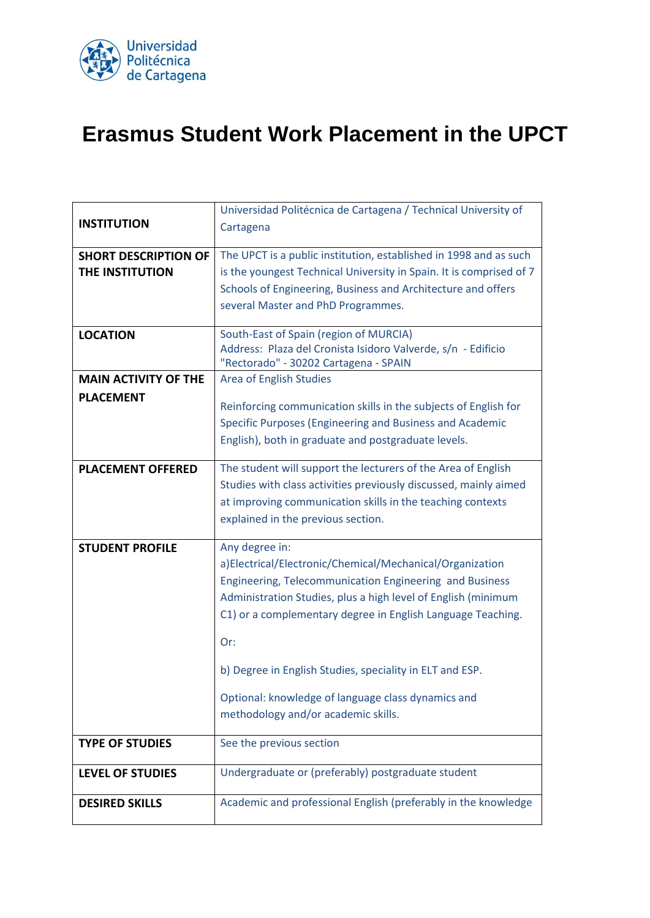

## **Erasmus Student Work Placement in the UPCT**

|                             | Universidad Politécnica de Cartagena / Technical University of      |
|-----------------------------|---------------------------------------------------------------------|
| <b>INSTITUTION</b>          | Cartagena                                                           |
|                             |                                                                     |
| <b>SHORT DESCRIPTION OF</b> | The UPCT is a public institution, established in 1998 and as such   |
| THE INSTITUTION             | is the youngest Technical University in Spain. It is comprised of 7 |
|                             | Schools of Engineering, Business and Architecture and offers        |
|                             |                                                                     |
|                             | several Master and PhD Programmes.                                  |
| <b>LOCATION</b>             | South-East of Spain (region of MURCIA)                              |
|                             | Address: Plaza del Cronista Isidoro Valverde, s/n - Edificio        |
|                             | "Rectorado" - 30202 Cartagena - SPAIN                               |
| <b>MAIN ACTIVITY OF THE</b> | <b>Area of English Studies</b>                                      |
| <b>PLACEMENT</b>            |                                                                     |
|                             | Reinforcing communication skills in the subjects of English for     |
|                             | Specific Purposes (Engineering and Business and Academic            |
|                             | English), both in graduate and postgraduate levels.                 |
|                             |                                                                     |
| <b>PLACEMENT OFFERED</b>    | The student will support the lecturers of the Area of English       |
|                             | Studies with class activities previously discussed, mainly aimed    |
|                             | at improving communication skills in the teaching contexts          |
|                             | explained in the previous section.                                  |
|                             |                                                                     |
| <b>STUDENT PROFILE</b>      | Any degree in:                                                      |
|                             | a)Electrical/Electronic/Chemical/Mechanical/Organization            |
|                             | Engineering, Telecommunication Engineering and Business             |
|                             | Administration Studies, plus a high level of English (minimum       |
|                             | C1) or a complementary degree in English Language Teaching.         |
|                             |                                                                     |
|                             | Or:                                                                 |
|                             |                                                                     |
|                             | b) Degree in English Studies, speciality in ELT and ESP.            |
|                             | Optional: knowledge of language class dynamics and                  |
|                             | methodology and/or academic skills.                                 |
|                             |                                                                     |
| <b>TYPE OF STUDIES</b>      | See the previous section                                            |
|                             |                                                                     |
| <b>LEVEL OF STUDIES</b>     | Undergraduate or (preferably) postgraduate student                  |
|                             |                                                                     |
| <b>DESIRED SKILLS</b>       | Academic and professional English (preferably in the knowledge      |
|                             |                                                                     |